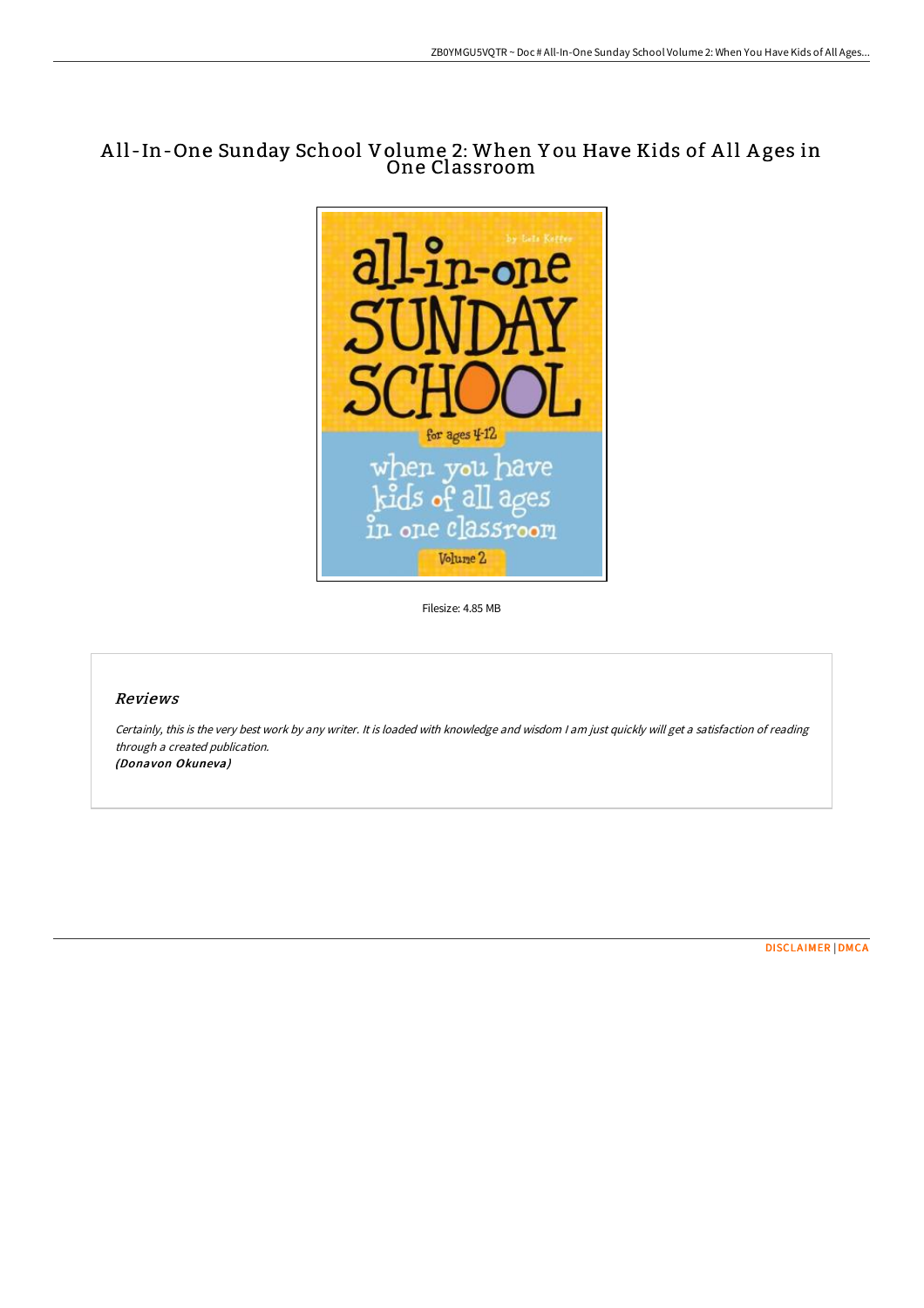## A ll -In-One Sunday School Volume 2: When Y ou Have Kids of A ll A ges in One Classroom



Filesize: 4.85 MB

## Reviews

Certainly, this is the very best work by any writer. It is loaded with knowledge and wisdom <sup>I</sup> am just quickly will get <sup>a</sup> satisfaction of reading through <sup>a</sup> created publication. (Donavon Okuneva)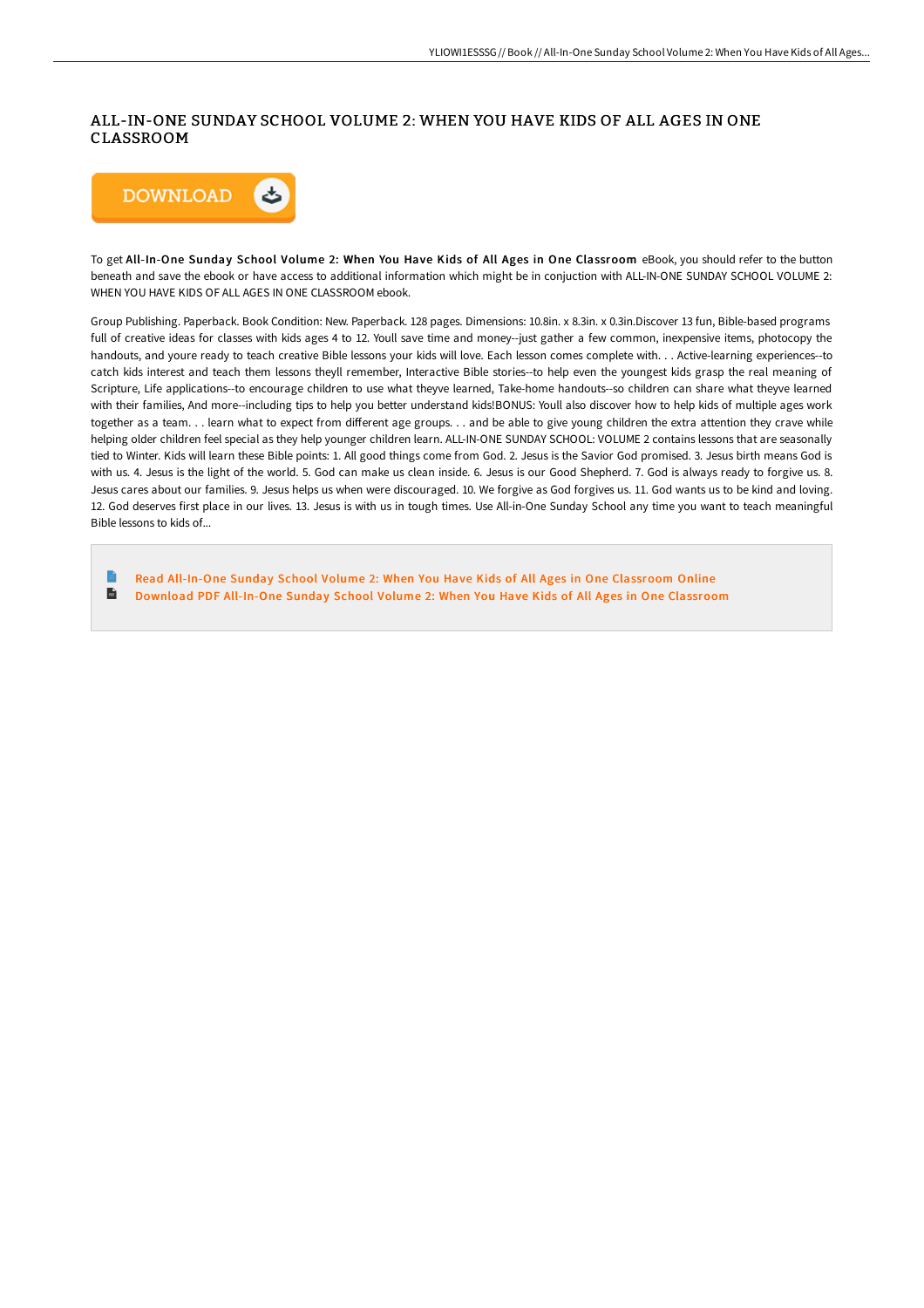## ALL-IN-ONE SUNDAY SCHOOL VOLUME 2: WHEN YOU HAVE KIDS OF ALL AGES IN ONE CLASSROOM



To get All-In-One Sunday School Volume 2: When You Have Kids of All Ages in One Classroom eBook, you should refer to the button beneath and save the ebook or have access to additional information which might be in conjuction with ALL-IN-ONE SUNDAY SCHOOL VOLUME 2: WHEN YOU HAVE KIDS OF ALL AGES IN ONE CLASSROOM ebook.

Group Publishing. Paperback. Book Condition: New. Paperback. 128 pages. Dimensions: 10.8in. x 8.3in. x 0.3in.Discover 13 fun, Bible-based programs full of creative ideas for classes with kids ages 4 to 12. Youll save time and money--just gather a few common, inexpensive items, photocopy the handouts, and youre ready to teach creative Bible lessons your kids will love. Each lesson comes complete with. . . Active-learning experiences--to catch kids interest and teach them lessons theyll remember, Interactive Bible stories--to help even the youngest kids grasp the real meaning of Scripture, Life applications--to encourage children to use what theyve learned, Take-home handouts--so children can share what theyve learned with their families, And more--including tips to help you better understand kids!BONUS: Youll also discover how to help kids of multiple ages work together as a team. . . learn what to expect from different age groups. . . and be able to give young children the extra attention they crave while helping older children feel special as they help younger children learn. ALL-IN-ONE SUNDAY SCHOOL: VOLUME 2 contains lessons that are seasonally tied to Winter. Kids will learn these Bible points: 1. All good things come from God. 2. Jesus is the Savior God promised. 3. Jesus birth means God is with us. 4. Jesus is the light of the world. 5. God can make us clean inside. 6. Jesus is our Good Shepherd. 7. God is always ready to forgive us. 8. Jesus cares about our families. 9. Jesus helps us when were discouraged. 10. We forgive as God forgives us. 11. God wants us to be kind and loving. 12. God deserves first place in our lives. 13. Jesus is with us in tough times. Use All-in-One Sunday School any time you want to teach meaningful Bible lessons to kids of...

**P** Read All-In-One Sunday School Volume 2: When You Have Kids of All Ages in One [Classroom](http://techno-pub.tech/all-in-one-sunday-school-volume-2-when-you-have-.html) Online  $\blacksquare$ Download PDF All-In-One Sunday School Volume 2: When You Have Kids of All Ages in One [Classroom](http://techno-pub.tech/all-in-one-sunday-school-volume-2-when-you-have-.html)